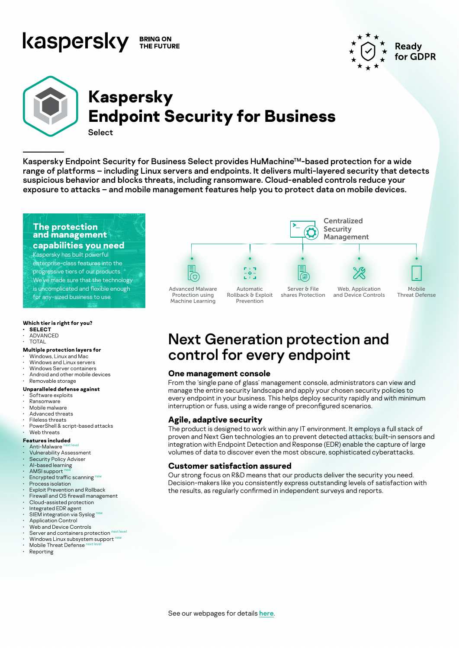#### kaspersky **BRING ON** THE FUTURE



# **Kaspersky Endpoint Security for Business**

**Select** 

Kaspersky Endpoint Security for Business Select provides HuMachine™-based protection for a wide range of platforms – including Linux servers and endpoints. It delivers multi-layered security that detects suspicious behavior and blocks threats, including ransomware. Cloud-enabled controls reduce your exposure to attacks – and mobile management features help you to protect data on mobile devices.

#### **The protection and management**

#### **capabilities you need**

Kaspersky has built powerful enterprise-class features into the progressive tiers of our products. We've made sure that the technology is uncomplicated and flexible enough for any-sized business to use.

#### **Which tier is right for you?**

- **• SELECT** • ADVANCED
- **TOTAL**

#### **Multiple protection layers for**

- Windows, Linux and Mac
- Windows and Linux servers
- Windows Server containers
- Android and other mobile devices

#### • Removable storage **Unparalleled defense against**

- Software exploits
- 
- Ransomware Mobile malware
- Advanced threats
- Fileless threats
- PowerShell & script-based attacks

#### Web threats

#### **Features included**

- Anti-Malware • Vulnerability Assessment
- Security Policy Adviser
- 
- AI-based learning AMSI support
- Encrypted traffic scanning new
- Process isolation
- Exploit Prevention and Rollback
- Firewall and OS firewall management
- Cloud-assisted protection
- Integrated EDR agent
- SIEM integration via Syslog
- Application Control
- Web and Device Controls
- Server and containers protection next level
- Windows Linux subsystem support<sup>ne</sup> Mobile Threat Defense
- **Reporting**



# Next Generation protection and control for every endpoint

#### **One management console**

From the 'single pane of glass' management console, administrators can view and manage the entire security landscape and apply your chosen security policies to every endpoint in your business. This helps deploy security rapidly and with minimum interruption or fuss, using a wide range of preconfigured scenarios.

#### **Agile, adaptive security**

The product is designed to work within any IT environment. It employs a full stack of proven and Next Gen technologies an to prevent detected attacks; built-in sensors and integration with Endpoint Detection and Response (EDR) enable the capture of large volumes of data to discover even the most obscure, sophisticated cyberattacks.

#### **Customer satisfaction assured**

Our strong focus on R&D means that our products deliver the security you need. Decision-makers like you consistently express outstanding levels of satisfaction with the results, as regularly confirmed in independent surveys and reports.